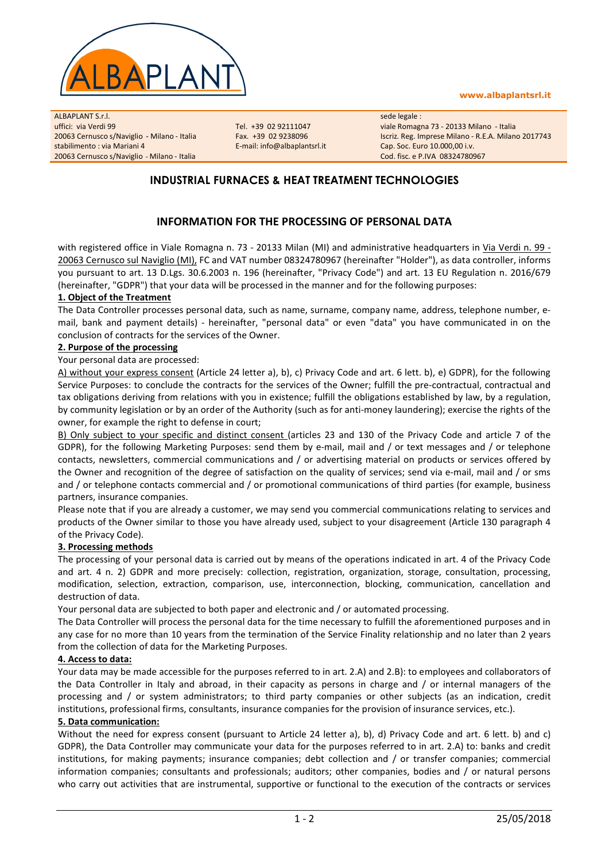

#### www.albaplantsrl.it

ALBAPLANT S.r.l. uffici: via Verdi 99 20063 Cernusco s/Naviglio - Milano - Italia stabilimento : via Mariani 4 20063 Cernusco s/Naviglio - Milano - Italia

Tel. +39 02 92111047 Fax. +39 02 9238096 E-mail: info@albaplantsrl.it sede legale : viale Romagna 73 - 20133 Milano - Italia Iscriz. Reg. Imprese Milano - R.E.A. Milano 2017743 Cap. Soc. Euro 10.000,00 i.v. Cod. fisc. e P.IVA 08324780967

## INDUSTRIAL FURNACES & HEAT TREATMENT TECHNOLOGIES

## INFORMATION FOR THE PROCESSING OF PERSONAL DATA

with registered office in Viale Romagna n. 73 - 20133 Milan (MI) and administrative headquarters in Via Verdi n. 99 -20063 Cernusco sul Naviglio (MI), FC and VAT number 08324780967 (hereinafter "Holder"), as data controller, informs you pursuant to art. 13 D.Lgs. 30.6.2003 n. 196 (hereinafter, "Privacy Code") and art. 13 EU Regulation n. 2016/679 (hereinafter, "GDPR") that your data will be processed in the manner and for the following purposes:

#### 1. Object of the Treatment

The Data Controller processes personal data, such as name, surname, company name, address, telephone number, email, bank and payment details) - hereinafter, "personal data" or even "data" you have communicated in on the conclusion of contracts for the services of the Owner.

#### 2. Purpose of the processing

Your personal data are processed:

A) without your express consent (Article 24 letter a), b), c) Privacy Code and art. 6 lett. b), e) GDPR), for the following Service Purposes: to conclude the contracts for the services of the Owner; fulfill the pre-contractual, contractual and tax obligations deriving from relations with you in existence; fulfill the obligations established by law, by a regulation, by community legislation or by an order of the Authority (such as for anti-money laundering); exercise the rights of the owner, for example the right to defense in court;

B) Only subject to your specific and distinct consent (articles 23 and 130 of the Privacy Code and article 7 of the GDPR), for the following Marketing Purposes: send them by e-mail, mail and / or text messages and / or telephone contacts, newsletters, commercial communications and / or advertising material on products or services offered by the Owner and recognition of the degree of satisfaction on the quality of services; send via e-mail, mail and / or sms and / or telephone contacts commercial and / or promotional communications of third parties (for example, business partners, insurance companies.

Please note that if you are already a customer, we may send you commercial communications relating to services and products of the Owner similar to those you have already used, subject to your disagreement (Article 130 paragraph 4 of the Privacy Code).

#### 3. Processing methods

The processing of your personal data is carried out by means of the operations indicated in art. 4 of the Privacy Code and art. 4 n. 2) GDPR and more precisely: collection, registration, organization, storage, consultation, processing, modification, selection, extraction, comparison, use, interconnection, blocking, communication, cancellation and destruction of data.

Your personal data are subjected to both paper and electronic and / or automated processing.

The Data Controller will process the personal data for the time necessary to fulfill the aforementioned purposes and in any case for no more than 10 years from the termination of the Service Finality relationship and no later than 2 years from the collection of data for the Marketing Purposes.

#### 4. Access to data:

Your data may be made accessible for the purposes referred to in art. 2.A) and 2.B): to employees and collaborators of the Data Controller in Italy and abroad, in their capacity as persons in charge and / or internal managers of the processing and / or system administrators; to third party companies or other subjects (as an indication, credit institutions, professional firms, consultants, insurance companies for the provision of insurance services, etc.).

#### 5. Data communication:

Without the need for express consent (pursuant to Article 24 letter a), b), d) Privacy Code and art. 6 lett. b) and c) GDPR), the Data Controller may communicate your data for the purposes referred to in art. 2.A) to: banks and credit institutions, for making payments; insurance companies; debt collection and / or transfer companies; commercial information companies; consultants and professionals; auditors; other companies, bodies and / or natural persons who carry out activities that are instrumental, supportive or functional to the execution of the contracts or services